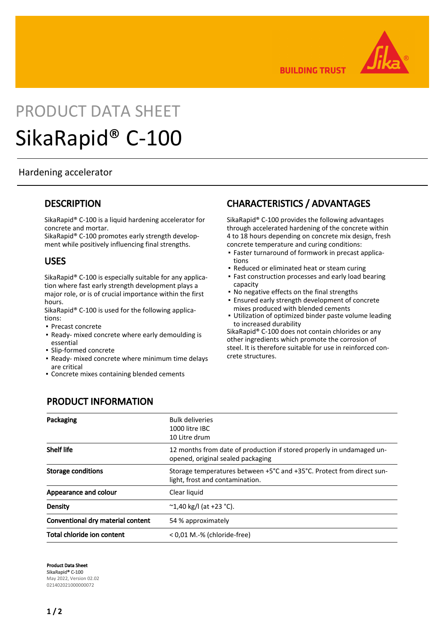

**BUILDING TRUST** 

# PRODUCT DATA SHEET SikaRapid® C-100

#### Hardening accelerator

#### **DESCRIPTION**

SikaRapid® C-100 is a liquid hardening accelerator for concrete and mortar.

SikaRapid® C-100 promotes early strength development while positively influencing final strengths.

#### USES

SikaRapid® C-100 is especially suitable for any application where fast early strength development plays a major role, or is of crucial importance within the first hours.

SikaRapid® C-100 is used for the following applications:

- Precast concrete
- **-** Ready- mixed concrete where early demoulding is essential
- Slip-formed concrete
- Ready- mixed concrete where minimum time delays are critical
- **Concrete mixes containing blended cements**

# CHARACTERISTICS / ADVANTAGES

SikaRapid® C-100 provides the following advantages through accelerated hardening of the concrete within 4 to 18 hours depending on concrete mix design, fresh concrete temperature and curing conditions:

- Faster turnaround of formwork in precast applica-▪ tions
- **Reduced or eliminated heat or steam curing**
- **Fast construction processes and early load bearing** capacity
- No negative effects on the final strengths
- **Ensured early strength development of concrete** mixes produced with blended cements
- Utilization of optimized binder paste volume leading to increased durability ▪

SikaRapid® C-100 does not contain chlorides or any other ingredients which promote the corrosion of steel. It is therefore suitable for use in reinforced concrete structures.

# PRODUCT INFORMATION

| Packaging                         | <b>Bulk deliveries</b><br>1000 litre IBC<br>10 Litre drum                                                  |
|-----------------------------------|------------------------------------------------------------------------------------------------------------|
| <b>Shelf life</b>                 | 12 months from date of production if stored properly in undamaged un-<br>opened, original sealed packaging |
| <b>Storage conditions</b>         | Storage temperatures between +5°C and +35°C. Protect from direct sun-<br>light, frost and contamination.   |
| Appearance and colour             | Clear liquid                                                                                               |
| Density                           | $^{\circ}$ 1,40 kg/l (at +23 $^{\circ}$ C).                                                                |
| Conventional dry material content | 54 % approximately                                                                                         |
| Total chloride ion content        | < 0,01 M.-% (chloride-free)                                                                                |

Product Data Sheet SikaRapid® C-100 May 2022, Version 02.02 021402021000000072